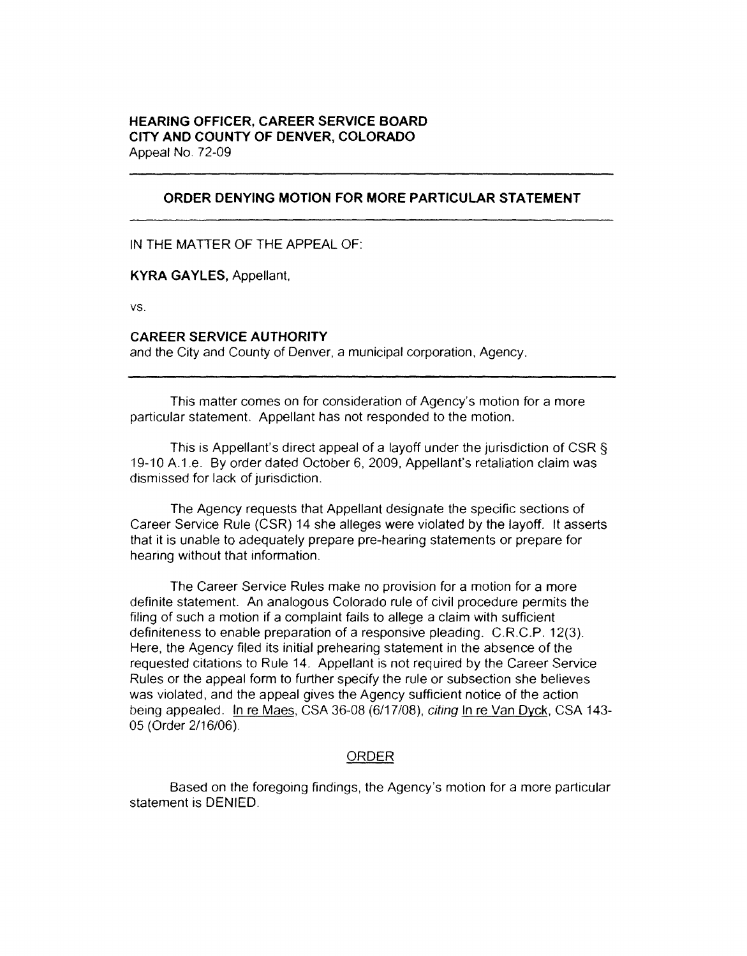## **HEARING OFFICER, CAREER SERVICE BOARD CITY AND COUNTY OF DENVER, COLORADO**  Appeal No. 72-09

## **ORDER DENYING MOTION FOR MORE PARTICULAR STATEMENT**

IN THE MATTER OF THE APPEAL OF:

**KYRA GAYLES,** Appellant.

vs.

## **CAREER SERVICE AUTHORITY**

and the City and County of Denver, a municipal corporation, Agency.

This matter comes on for consideration of Agency's motion for a more particular statement. Appellant has not responded to the motion.

This is Appellant's direct appeal of a layoff under the jurisdiction of CSR § 19-10 A.1.e. By order dated October 6, 2009, Appellant's retaliation claim was dismissed for lack of jurisdiction.

The Agency requests that Appellant designate the specific sections of Career Service Rule (CSR) 14 she alleges were violated by the layoff. It asserts that it is unable to adequately prepare pre-hearing statements or prepare for hearing without that information.

The Career Service Rules make no provision for a motion for a more definite statement. An analogous Colorado rule of civil procedure permits the filing of such a motion if a complaint fails to allege a claim with sufficient definiteness to enable preparation of a responsive pleading. C.R.C.P. 12(3). Here, the Agency filed its initial prehearing statement in the absence of the requested citations to Rule 14. Appellant is not required by the Career Service Rules or the appeal form to further specify the rule or subsection she believes was violated, and the appeal gives the Agency sufficient notice of the action being appealed. In re Maes, CSA 36-08 (6/17/08), citing In re Van Dyck, CSA 143- 05 (Order 2/16/06).

## ORDER

Based on the foregoing findings, the Agency's motion for a more particular statement is DENIED.